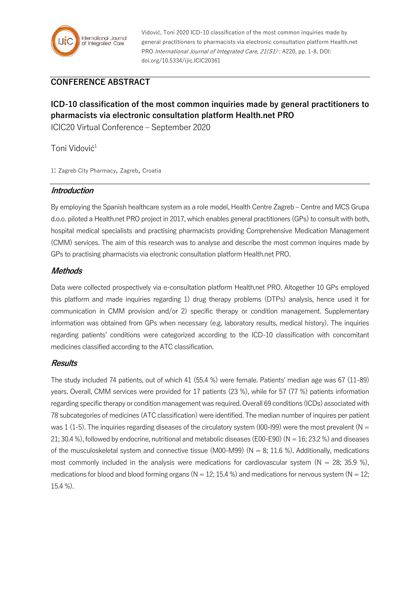

Vidović, Toni 2020 ICD-10 classification of the most common inquiries made by general practitioners to pharmacists via electronic consultation platform Health.net PRO International Journal of Integrated Care, 21(S1) : A220, pp. 1-8, DOI: doi.org/10.5334/ijic.ICIC20361

## **CONFERENCE ABSTRACT**

# **ICD-10 classification of the most common inquiries made by general practitioners to pharmacists via electronic consultation platform Health.net PRO**

ICIC20 Virtual Conference – September 2020

Toni Vidović<sup>1</sup>

1: Zagreb City Pharmacy, Zagreb, Croatia

#### **Introduction**

By employing the Spanish healthcare system as a role model, Health Centre Zagreb – Centre and MCS Grupa d.o.o. piloted a Health.net PRO project in 2017, which enables general practitioners (GPs) to consult with both, hospital medical specialists and practising pharmacists providing Comprehensive Medication Management (CMM) services. The aim of this research was to analyse and describe the most common inquires made by GPs to practising pharmacists via electronic consultation platform Health.net PRO.

## **Methods**

Data were collected prospectively via e-consultation platform Health.net PRO. Altogether 10 GPs employed this platform and made inquiries regarding 1) drug therapy problems (DTPs) analysis, hence used it for communication in CMM provision and/or 2) specific therapy or condition management. Supplementary information was obtained from GPs when necessary (e.g. laboratory results, medical history). The inquiries regarding patients' conditions were categorized according to the ICD-10 classification with concomitant medicines classified according to the ATC classification.

#### **Results**

The study included 74 patients, out of which 41 (55.4 %) were female. Patients' median age was 67 (11-89) years. Overall, CMM services were provided for 17 patients (23 %), while for 57 (77 %) patients information regarding specific therapy or condition management was required. Overall 69 conditions (ICDs) associated with 78 subcategories of medicines (ATC classification) were identified. The median number of inquires per patient was 1 (1-5). The inquiries regarding diseases of the circulatory system ( $100$ - $199$ ) were the most prevalent ( $N =$ 21; 30.4 %), followed by endocrine, nutritional and metabolic diseases (E00-E90) ( $N = 16$ ; 23.2 %) and diseases of the musculoskeletal system and connective tissue (M00-M99) ( $N = 8$ ; 11.6 %). Additionally, medications most commonly included in the analysis were medications for cardiovascular system  $(N = 28; 35.9 \%)$ , medications for blood and blood forming organs ( $N = 12$ ; 15.4 %) and medications for nervous system ( $N = 12$ ; 15.4 %).